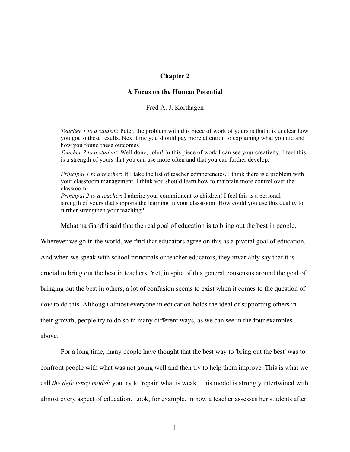## **Chapter 2**

### **A Focus on the Human Potential**

Fred A. J. Korthagen

*Teacher 1 to a student*: Peter, the problem with this piece of work of yours is that it is unclear how you got to these results. Next time you should pay more attention to explaining what you did and how you found these outcomes!

*Teacher 2 to a student*: Well done, John! In this piece of work I can see your creativity. I feel this is a strength of yours that you can use more often and that you can further develop.

*Principal 1 to a teacher*: If I take the list of teacher competencies, I think there is a problem with your classroom management. I think you should learn how to maintain more control over the classroom.

*Principal 2 to a teacher*: I admire your commitment to children! I feel this is a personal strength of yours that supports the learning in your classroom. How could you use this quality to further strengthen your teaching?

Mahatma Gandhi said that the real goal of education is to bring out the best in people.

Wherever we go in the world, we find that educators agree on this as a pivotal goal of education.

And when we speak with school principals or teacher educators, they invariably say that it is

crucial to bring out the best in teachers. Yet, in spite of this general consensus around the goal of

bringing out the best in others, a lot of confusion seems to exist when it comes to the question of

*how* to do this. Although almost everyone in education holds the ideal of supporting others in

their growth, people try to do so in many different ways, as we can see in the four examples

above.

For a long time, many people have thought that the best way to 'bring out the best' was to confront people with what was not going well and then try to help them improve. This is what we call *the deficiency model*: you try to 'repair' what is weak. This model is strongly intertwined with almost every aspect of education. Look, for example, in how a teacher assesses her students after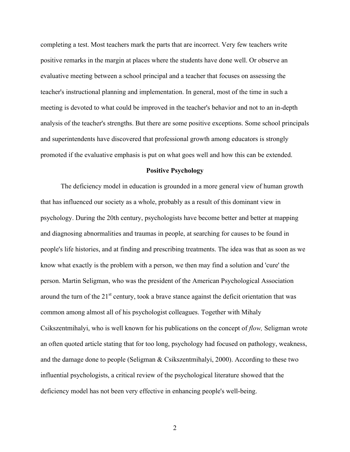completing a test. Most teachers mark the parts that are incorrect. Very few teachers write positive remarks in the margin at places where the students have done well. Or observe an evaluative meeting between a school principal and a teacher that focuses on assessing the teacher's instructional planning and implementation. In general, most of the time in such a meeting is devoted to what could be improved in the teacher's behavior and not to an in-depth analysis of the teacher's strengths. But there are some positive exceptions. Some school principals and superintendents have discovered that professional growth among educators is strongly promoted if the evaluative emphasis is put on what goes well and how this can be extended.

### **Positive Psychology**

The deficiency model in education is grounded in a more general view of human growth that has influenced our society as a whole, probably as a result of this dominant view in psychology. During the 20th century, psychologists have become better and better at mapping and diagnosing abnormalities and traumas in people, at searching for causes to be found in people's life histories, and at finding and prescribing treatments. The idea was that as soon as we know what exactly is the problem with a person, we then may find a solution and 'cure' the person. Martin Seligman, who was the president of the American Psychological Association around the turn of the  $21<sup>st</sup>$  century, took a brave stance against the deficit orientation that was common among almost all of his psychologist colleagues. Together with Mihaly Csikszentmihalyi, who is well known for his publications on the concept of *flow,* Seligman wrote an often quoted article stating that for too long, psychology had focused on pathology, weakness, and the damage done to people (Seligman & Csikszentmihalyi, 2000). According to these two influential psychologists, a critical review of the psychological literature showed that the deficiency model has not been very effective in enhancing people's well-being.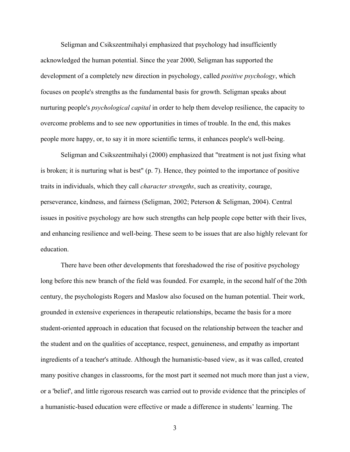Seligman and Csikszentmihalyi emphasized that psychology had insufficiently acknowledged the human potential. Since the year 2000, Seligman has supported the development of a completely new direction in psychology, called *positive psychology*, which focuses on people's strengths as the fundamental basis for growth. Seligman speaks about nurturing people's *psychological capital* in order to help them develop resilience, the capacity to overcome problems and to see new opportunities in times of trouble. In the end, this makes people more happy, or, to say it in more scientific terms, it enhances people's well-being.

Seligman and Csikszentmihalyi (2000) emphasized that "treatment is not just fixing what is broken; it is nurturing what is best" (p. 7). Hence, they pointed to the importance of positive traits in individuals, which they call *character strengths*, such as creativity, courage, perseverance, kindness, and fairness (Seligman, 2002; Peterson & Seligman, 2004). Central issues in positive psychology are how such strengths can help people cope better with their lives, and enhancing resilience and well-being. These seem to be issues that are also highly relevant for education.

There have been other developments that foreshadowed the rise of positive psychology long before this new branch of the field was founded. For example, in the second half of the 20th century, the psychologists Rogers and Maslow also focused on the human potential. Their work, grounded in extensive experiences in therapeutic relationships, became the basis for a more student-oriented approach in education that focused on the relationship between the teacher and the student and on the qualities of acceptance, respect, genuineness, and empathy as important ingredients of a teacher's attitude. Although the humanistic-based view, as it was called, created many positive changes in classrooms, for the most part it seemed not much more than just a view, or a 'belief', and little rigorous research was carried out to provide evidence that the principles of a humanistic-based education were effective or made a difference in students' learning. The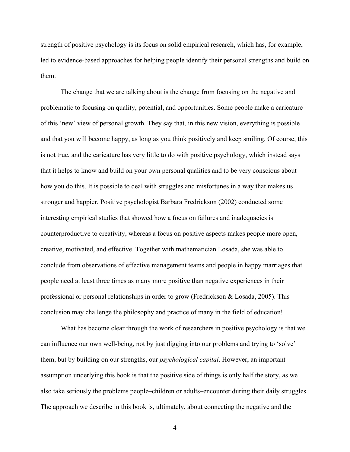strength of positive psychology is its focus on solid empirical research, which has, for example, led to evidence-based approaches for helping people identify their personal strengths and build on them.

The change that we are talking about is the change from focusing on the negative and problematic to focusing on quality, potential, and opportunities. Some people make a caricature of this 'new' view of personal growth. They say that, in this new vision, everything is possible and that you will become happy, as long as you think positively and keep smiling. Of course, this is not true, and the caricature has very little to do with positive psychology, which instead says that it helps to know and build on your own personal qualities and to be very conscious about how you do this. It is possible to deal with struggles and misfortunes in a way that makes us stronger and happier. Positive psychologist Barbara Fredrickson (2002) conducted some interesting empirical studies that showed how a focus on failures and inadequacies is counterproductive to creativity, whereas a focus on positive aspects makes people more open, creative, motivated, and effective. Together with mathematician Losada, she was able to conclude from observations of effective management teams and people in happy marriages that people need at least three times as many more positive than negative experiences in their professional or personal relationships in order to grow (Fredrickson & Losada, 2005). This conclusion may challenge the philosophy and practice of many in the field of education!

What has become clear through the work of researchers in positive psychology is that we can influence our own well-being, not by just digging into our problems and trying to 'solve' them, but by building on our strengths, our *psychological capital*. However, an important assumption underlying this book is that the positive side of things is only half the story, as we also take seriously the problems people–children or adults–encounter during their daily struggles. The approach we describe in this book is, ultimately, about connecting the negative and the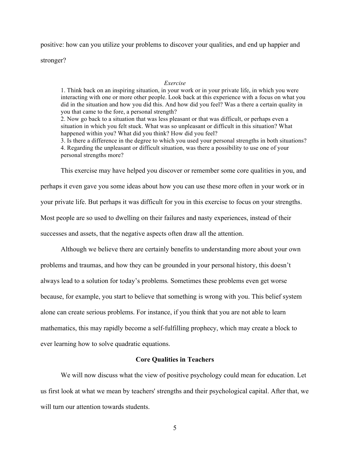positive: how can you utilize your problems to discover your qualities, and end up happier and

stronger?

#### *Exercise*

1. Think back on an inspiring situation, in your work or in your private life, in which you were interacting with one or more other people. Look back at this experience with a focus on what you did in the situation and how you did this. And how did you feel? Was a there a certain quality in you that came to the fore, a personal strength?

2. Now go back to a situation that was less pleasant or that was difficult, or perhaps even a situation in which you felt stuck. What was so unpleasant or difficult in this situation? What happened within you? What did you think? How did you feel?

3. Is there a difference in the degree to which you used your personal strengths in both situations? 4. Regarding the unpleasant or difficult situation, was there a possibility to use one of your personal strengths more?

This exercise may have helped you discover or remember some core qualities in you, and

perhaps it even gave you some ideas about how you can use these more often in your work or in

your private life. But perhaps it was difficult for you in this exercise to focus on your strengths.

Most people are so used to dwelling on their failures and nasty experiences, instead of their

successes and assets, that the negative aspects often draw all the attention.

Although we believe there are certainly benefits to understanding more about your own problems and traumas, and how they can be grounded in your personal history, this doesn't always lead to a solution for today's problems*.* Sometimes these problems even get worse because, for example, you start to believe that something is wrong with you. This belief system alone can create serious problems. For instance, if you think that you are not able to learn mathematics, this may rapidly become a self-fulfilling prophecy, which may create a block to ever learning how to solve quadratic equations.

## **Core Qualities in Teachers**

We will now discuss what the view of positive psychology could mean for education. Let us first look at what we mean by teachers' strengths and their psychological capital. After that, we will turn our attention towards students.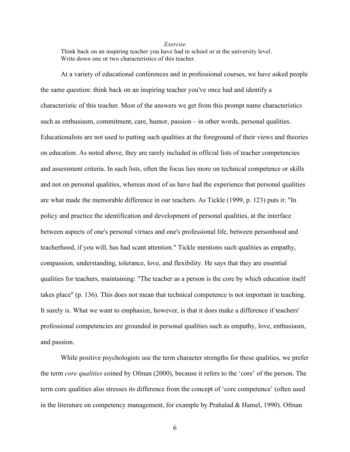#### *Exercise*

Think back on an inspiring teacher you have had in school or at the university level. Write down one or two characteristics of this teacher.

At a variety of educational conferences and in professional courses, we have asked people the same question: think back on an inspiring teacher you've once had and identify a characteristic of this teacher. Most of the answers we get from this prompt name characteristics such as enthusiasm, commitment, care, humor, passion – in other words, personal qualities. Educationalists are not used to putting such qualities at the foreground of their views and theories on education. As noted above, they are rarely included in official lists of teacher competencies and assessment criteria. In such lists, often the focus lies more on technical competence or skills and not on personal qualities, whereas most of us have had the experience that personal qualities are what made the memorable difference in our teachers. As Tickle (1999, p. 123) puts it: "In policy and practice the identification and development of personal qualities, at the interface between aspects of one's personal virtues and one's professional life, between personhood and teacherhood, if you will, has had scant attention." Tickle mentions such qualities as empathy, compassion, understanding, tolerance, love, and flexibility. He says that they are essential qualities for teachers, maintaining: "The teacher as a person is the core by which education itself takes place" (p. 136). This does not mean that technical competence is not important in teaching. It surely is. What we want to emphasize, however, is that it does make a difference if teachers' professional competencies are grounded in personal qualities such as empathy, love, enthusiasm, and passion.

While positive psychologists use the term character strengths for these qualities, we prefer the term *core qualities* coined by Ofman (2000), because it refers to the 'core' of the person. The term core qualities also stresses its difference from the concept of 'core competence' (often used in the literature on competency management, for example by Prahalad & Hamel, 1990). Ofman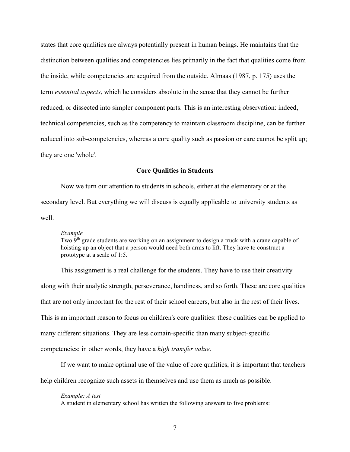states that core qualities are always potentially present in human beings. He maintains that the distinction between qualities and competencies lies primarily in the fact that qualities come from the inside, while competencies are acquired from the outside. Almaas (1987, p. 175) uses the term *essential aspects*, which he considers absolute in the sense that they cannot be further reduced, or dissected into simpler component parts. This is an interesting observation: indeed, technical competencies, such as the competency to maintain classroom discipline, can be further reduced into sub-competencies, whereas a core quality such as passion or care cannot be split up; they are one 'whole'.

### **Core Qualities in Students**

Now we turn our attention to students in schools, either at the elementary or at the secondary level. But everything we will discuss is equally applicable to university students as well.

#### *Example*

Two 9<sup>th</sup> grade students are working on an assignment to design a truck with a crane capable of hoisting up an object that a person would need both arms to lift. They have to construct a prototype at a scale of 1:5.

This assignment is a real challenge for the students. They have to use their creativity along with their analytic strength, perseverance, handiness, and so forth. These are core qualities that are not only important for the rest of their school careers, but also in the rest of their lives. This is an important reason to focus on children's core qualities: these qualities can be applied to many different situations. They are less domain-specific than many subject-specific competencies; in other words, they have a *high transfer value*.

If we want to make optimal use of the value of core qualities, it is important that teachers help children recognize such assets in themselves and use them as much as possible.

*Example: A test* A student in elementary school has written the following answers to five problems: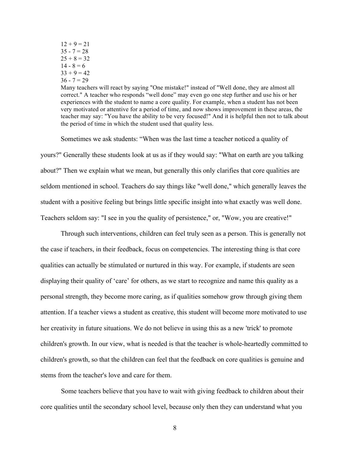$12 + 9 = 21$  $35 - 7 = 28$  $25 + 8 = 32$  $14 - 8 = 6$  $33 + 9 = 42$  $36 - 7 = 29$ 

Many teachers will react by saying "One mistake!" instead of "Well done, they are almost all correct." A teacher who responds "well done" may even go one step further and use his or her experiences with the student to name a core quality. For example, when a student has not been very motivated or attentive for a period of time, and now shows improvement in these areas, the teacher may say: "You have the ability to be very focused!" And it is helpful then not to talk about the period of time in which the student used that quality less.

Sometimes we ask students: "When was the last time a teacher noticed a quality of yours?" Generally these students look at us as if they would say: "What on earth are you talking about?" Then we explain what we mean, but generally this only clarifies that core qualities are seldom mentioned in school. Teachers do say things like "well done," which generally leaves the student with a positive feeling but brings little specific insight into what exactly was well done. Teachers seldom say: "I see in you the quality of persistence," or, "Wow, you are creative!"

Through such interventions, children can feel truly seen as a person. This is generally not the case if teachers, in their feedback, focus on competencies. The interesting thing is that core qualities can actually be stimulated or nurtured in this way. For example, if students are seen displaying their quality of 'care' for others, as we start to recognize and name this quality as a personal strength, they become more caring, as if qualities somehow grow through giving them attention. If a teacher views a student as creative, this student will become more motivated to use her creativity in future situations. We do not believe in using this as a new 'trick' to promote children's growth. In our view, what is needed is that the teacher is whole-heartedly committed to children's growth, so that the children can feel that the feedback on core qualities is genuine and stems from the teacher's love and care for them.

Some teachers believe that you have to wait with giving feedback to children about their core qualities until the secondary school level, because only then they can understand what you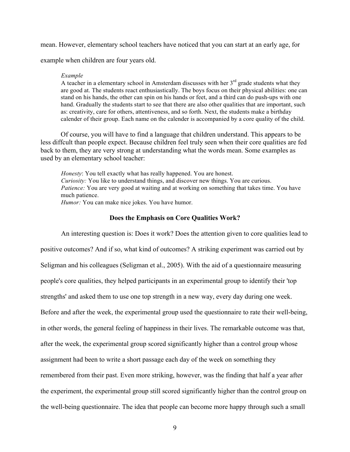mean. However, elementary school teachers have noticed that you can start at an early age, for

example when children are four years old.

## *Example*

A teacher in a elementary school in Amsterdam discusses with her  $3<sup>rd</sup>$  grade students what they are good at. The students react enthusiastically. The boys focus on their physical abilities: one can stand on his hands, the other can spin on his hands or feet, and a third can do push-ups with one hand. Gradually the students start to see that there are also other qualities that are important, such as: creativity, care for others, attentiveness, and so forth. Next, the students make a birthday calender of their group. Each name on the calender is accompanied by a core quality of the child.

Of course, you will have to find a language that children understand. This appears to be less diffcult than people expect. Because children feel truly seen when their core qualities are fed back to them, they are very strong at understanding what the words mean. Some examples as used by an elementary school teacher:

*Honesty*: You tell exactly what has really happened. You are honest. *Curiosity:* You like to understand things, and discover new things. You are curious. *Patience:* You are very good at waiting and at working on something that takes time. You have much patience.

*Humor:* You can make nice jokes. You have humor.

# **Does the Emphasis on Core Qualities Work?**

An interesting question is: Does it work? Does the attention given to core qualities lead to positive outcomes? And if so, what kind of outcomes? A striking experiment was carried out by Seligman and his colleagues (Seligman et al., 2005). With the aid of a questionnaire measuring people's core qualities, they helped participants in an experimental group to identify their 'top strengths' and asked them to use one top strength in a new way, every day during one week. Before and after the week, the experimental group used the questionnaire to rate their well-being, in other words, the general feeling of happiness in their lives. The remarkable outcome was that, after the week, the experimental group scored significantly higher than a control group whose assignment had been to write a short passage each day of the week on something they remembered from their past. Even more striking, however, was the finding that half a year after the experiment, the experimental group still scored significantly higher than the control group on the well-being questionnaire. The idea that people can become more happy through such a small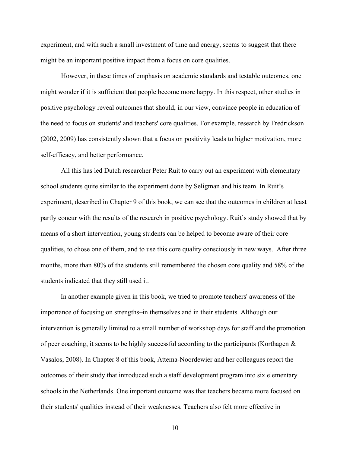experiment, and with such a small investment of time and energy, seems to suggest that there might be an important positive impact from a focus on core qualities.

However, in these times of emphasis on academic standards and testable outcomes, one might wonder if it is sufficient that people become more happy. In this respect, other studies in positive psychology reveal outcomes that should, in our view, convince people in education of the need to focus on students' and teachers' core qualities. For example, research by Fredrickson (2002, 2009) has consistently shown that a focus on positivity leads to higher motivation, more self-efficacy, and better performance.

All this has led Dutch researcher Peter Ruit to carry out an experiment with elementary school students quite similar to the experiment done by Seligman and his team. In Ruit's experiment, described in Chapter 9 of this book, we can see that the outcomes in children at least partly concur with the results of the research in positive psychology. Ruit's study showed that by means of a short intervention, young students can be helped to become aware of their core qualities, to chose one of them, and to use this core quality consciously in new ways. After three months, more than 80% of the students still remembered the chosen core quality and 58% of the students indicated that they still used it.

In another example given in this book, we tried to promote teachers' awareness of the importance of focusing on strengths–in themselves and in their students. Although our intervention is generally limited to a small number of workshop days for staff and the promotion of peer coaching, it seems to be highly successful according to the participants (Korthagen & Vasalos, 2008). In Chapter 8 of this book, Attema-Noordewier and her colleagues report the outcomes of their study that introduced such a staff development program into six elementary schools in the Netherlands. One important outcome was that teachers became more focused on their students' qualities instead of their weaknesses. Teachers also felt more effective in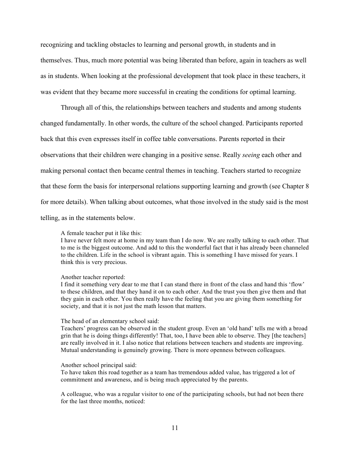recognizing and tackling obstacles to learning and personal growth, in students and in themselves. Thus, much more potential was being liberated than before, again in teachers as well as in students. When looking at the professional development that took place in these teachers, it was evident that they became more successful in creating the conditions for optimal learning.

Through all of this, the relationships between teachers and students and among students changed fundamentally. In other words, the culture of the school changed. Participants reported back that this even expresses itself in coffee table conversations. Parents reported in their observations that their children were changing in a positive sense. Really *seeing* each other and making personal contact then became central themes in teaching. Teachers started to recognize that these form the basis for interpersonal relations supporting learning and growth (see Chapter 8 for more details). When talking about outcomes, what those involved in the study said is the most telling, as in the statements below.

A female teacher put it like this:

I have never felt more at home in my team than I do now. We are really talking to each other. That to me is the biggest outcome. And add to this the wonderful fact that it has already been channeled to the children. Life in the school is vibrant again. This is something I have missed for years. I think this is very precious.

#### Another teacher reported:

I find it something very dear to me that I can stand there in front of the class and hand this 'flow' to these children, and that they hand it on to each other. And the trust you then give them and that they gain in each other. You then really have the feeling that you are giving them something for society, and that it is not just the math lesson that matters.

#### The head of an elementary school said:

Teachers' progress can be observed in the student group. Even an 'old hand' tells me with a broad grin that he is doing things differently! That, too, I have been able to observe. They [the teachers] are really involved in it. I also notice that relations between teachers and students are improving. Mutual understanding is genuinely growing. There is more openness between colleagues.

#### Another school principal said:

To have taken this road together as a team has tremendous added value, has triggered a lot of commitment and awareness, and is being much appreciated by the parents.

A colleague, who was a regular visitor to one of the participating schools, but had not been there for the last three months, noticed: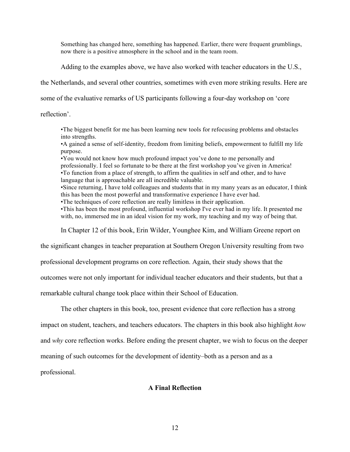Something has changed here, something has happened. Earlier, there were frequent grumblings, now there is a positive atmosphere in the school and in the team room.

Adding to the examples above, we have also worked with teacher educators in the U.S.,

the Netherlands, and several other countries, sometimes with even more striking results. Here are

some of the evaluative remarks of US participants following a four-day workshop on 'core

reflection'.

•The biggest benefit for me has been learning new tools for refocusing problems and obstacles into strengths.

•A gained a sense of self-identity, freedom from limiting beliefs, empowerment to fulfill my life purpose.

•You would not know how much profound impact you've done to me personally and professionally. I feel so fortunate to be there at the first workshop you've given in America! •To function from a place of strength, to affirm the qualities in self and other, and to have language that is approachable are all incredible valuable.

•Since returning, I have told colleagues and students that in my many years as an educator, I think this has been the most powerful and transformative experience I have ever had.

•The techniques of core reflection are really limitless in their application.

•This has been the most profound, influential workshop I've ever had in my life. It presented me with, no, immersed me in an ideal vision for my work, my teaching and my way of being that.

In Chapter 12 of this book, Erin Wilder, Younghee Kim, and William Greene report on

the significant changes in teacher preparation at Southern Oregon University resulting from two

professional development programs on core reflection. Again, their study shows that the

outcomes were not only important for individual teacher educators and their students, but that a

remarkable cultural change took place within their School of Education.

The other chapters in this book, too, present evidence that core reflection has a strong

impact on student, teachers, and teachers educators. The chapters in this book also highlight *how*

and *why* core reflection works. Before ending the present chapter, we wish to focus on the deeper

meaning of such outcomes for the development of identity–both as a person and as a

professional.

# **A Final Reflection**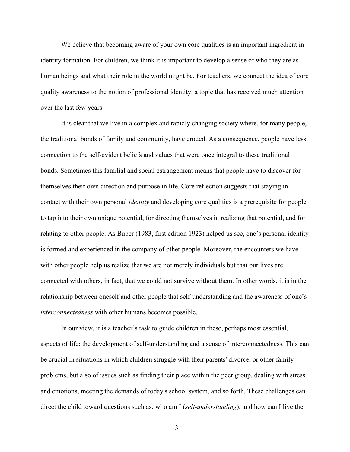We believe that becoming aware of your own core qualities is an important ingredient in identity formation. For children, we think it is important to develop a sense of who they are as human beings and what their role in the world might be. For teachers, we connect the idea of core quality awareness to the notion of professional identity, a topic that has received much attention over the last few years.

It is clear that we live in a complex and rapidly changing society where, for many people, the traditional bonds of family and community, have eroded. As a consequence, people have less connection to the self-evident beliefs and values that were once integral to these traditional bonds. Sometimes this familial and social estrangement means that people have to discover for themselves their own direction and purpose in life. Core reflection suggests that staying in contact with their own personal *identity* and developing core qualities is a prerequisite for people to tap into their own unique potential, for directing themselves in realizing that potential, and for relating to other people. As Buber (1983, first edition 1923) helped us see, one's personal identity is formed and experienced in the company of other people. Moreover, the encounters we have with other people help us realize that we are not merely individuals but that our lives are connected with others, in fact, that we could not survive without them. In other words, it is in the relationship between oneself and other people that self-understanding and the awareness of one's *interconnectedness* with other humans becomes possible.

In our view, it is a teacher's task to guide children in these, perhaps most essential, aspects of life: the development of self-understanding and a sense of interconnectedness. This can be crucial in situations in which children struggle with their parents' divorce, or other family problems, but also of issues such as finding their place within the peer group, dealing with stress and emotions, meeting the demands of today's school system, and so forth. These challenges can direct the child toward questions such as: who am I (*self-understanding*), and how can I live the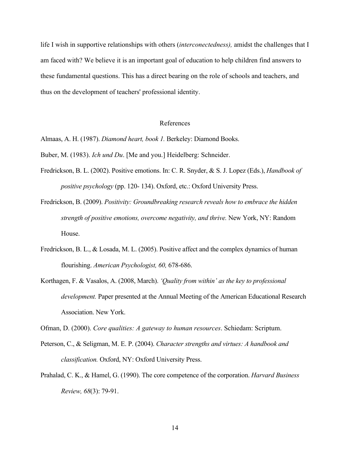life I wish in supportive relationships with others (*interconectedness),* amidst the challenges that I am faced with? We believe it is an important goal of education to help children find answers to these fundamental questions. This has a direct bearing on the role of schools and teachers, and thus on the development of teachers' professional identity.

## References

Almaas, A. H. (1987). *Diamond heart, book 1.* Berkeley: Diamond Books.

Buber, M. (1983). *Ich und Du*. [Me and you.] Heidelberg: Schneider.

- Fredrickson, B. L. (2002). Positive emotions. In: C. R. Snyder, & S. J. Lopez (Eds.), *Handbook of positive psychology* (pp. 120- 134). Oxford, etc.: Oxford University Press.
- Fredrickson, B. (2009). *Positivity: Groundbreaking research reveals how to embrace the hidden strength of positive emotions, overcome negativity, and thrive.* New York, NY: Random House.
- Fredrickson, B. L., & Losada, M. L. (2005). Positive affect and the complex dynamics of human flourishing. *American Psychologist, 60,* 678-686.
- Korthagen, F. & Vasalos, A. (2008, March). *'Quality from within' as the key to professional development.* Paper presented at the Annual Meeting of the American Educational Research Association. New York.

Ofman, D. (2000). *Core qualities: A gateway to human resources*. Schiedam: Scriptum.

- Peterson, C., & Seligman, M. E. P. (2004). *Character strengths and virtues: A handbook and classification.* Oxford, NY: Oxford University Press.
- Prahalad, C. K., & Hamel, G. (1990). The core competence of the corporation. *Harvard Business Review, 68*(3): 79-91.